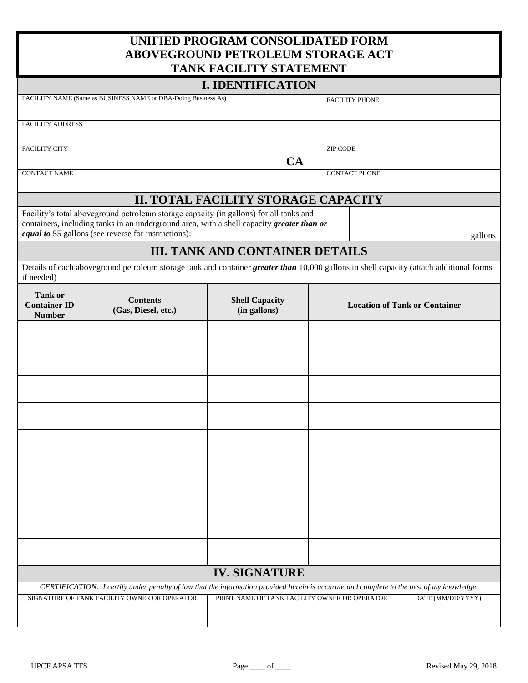# **UNIFIED PROGRAM CONSOLIDATED FORM ABOVEGROUND PETROLEUM STORAGE ACT**

| TANK FACILITY STATEMENT                                                                                                                  |                                                                                                                                                                                     |                                               |    |                                      |                       |                   |         |  |  |  |
|------------------------------------------------------------------------------------------------------------------------------------------|-------------------------------------------------------------------------------------------------------------------------------------------------------------------------------------|-----------------------------------------------|----|--------------------------------------|-----------------------|-------------------|---------|--|--|--|
|                                                                                                                                          |                                                                                                                                                                                     | <b>I. IDENTIFICATION</b>                      |    |                                      |                       |                   |         |  |  |  |
|                                                                                                                                          | FACILITY NAME (Same as BUSINESS NAME or DBA-Doing Business As)                                                                                                                      |                                               |    |                                      | <b>FACILITY PHONE</b> |                   |         |  |  |  |
| <b>FACILITY ADDRESS</b>                                                                                                                  |                                                                                                                                                                                     |                                               |    |                                      |                       |                   |         |  |  |  |
|                                                                                                                                          |                                                                                                                                                                                     |                                               |    |                                      |                       |                   |         |  |  |  |
| <b>FACILITY CITY</b>                                                                                                                     |                                                                                                                                                                                     |                                               | CA | <b>ZIP CODE</b>                      |                       |                   |         |  |  |  |
| <b>CONTACT NAME</b>                                                                                                                      |                                                                                                                                                                                     |                                               |    |                                      | <b>CONTACT PHONE</b>  |                   |         |  |  |  |
|                                                                                                                                          |                                                                                                                                                                                     |                                               |    |                                      |                       |                   |         |  |  |  |
|                                                                                                                                          | II. TOTAL FACILITY STORAGE CAPACITY                                                                                                                                                 |                                               |    |                                      |                       |                   |         |  |  |  |
|                                                                                                                                          | Facility's total aboveground petroleum storage capacity (in gallons) for all tanks and<br>containers, including tanks in an underground area, with a shell capacity greater than or |                                               |    |                                      |                       |                   |         |  |  |  |
|                                                                                                                                          | equal to 55 gallons (see reverse for instructions):                                                                                                                                 |                                               |    |                                      |                       |                   | gallons |  |  |  |
|                                                                                                                                          |                                                                                                                                                                                     | <b>III. TANK AND CONTAINER DETAILS</b>        |    |                                      |                       |                   |         |  |  |  |
| if needed)                                                                                                                               | Details of each aboveground petroleum storage tank and container <i>greater than</i> 10,000 gallons in shell capacity (attach additional forms                                      |                                               |    |                                      |                       |                   |         |  |  |  |
| <b>Tank or</b><br><b>Container ID</b><br><b>Number</b>                                                                                   | <b>Contents</b><br>(Gas, Diesel, etc.)                                                                                                                                              | <b>Shell Capacity</b><br>(in gallons)         |    | <b>Location of Tank or Container</b> |                       |                   |         |  |  |  |
|                                                                                                                                          |                                                                                                                                                                                     |                                               |    |                                      |                       |                   |         |  |  |  |
|                                                                                                                                          |                                                                                                                                                                                     |                                               |    |                                      |                       |                   |         |  |  |  |
|                                                                                                                                          |                                                                                                                                                                                     |                                               |    |                                      |                       |                   |         |  |  |  |
|                                                                                                                                          |                                                                                                                                                                                     |                                               |    |                                      |                       |                   |         |  |  |  |
|                                                                                                                                          |                                                                                                                                                                                     |                                               |    |                                      |                       |                   |         |  |  |  |
|                                                                                                                                          |                                                                                                                                                                                     |                                               |    |                                      |                       |                   |         |  |  |  |
|                                                                                                                                          |                                                                                                                                                                                     |                                               |    |                                      |                       |                   |         |  |  |  |
|                                                                                                                                          |                                                                                                                                                                                     |                                               |    |                                      |                       |                   |         |  |  |  |
|                                                                                                                                          |                                                                                                                                                                                     |                                               |    |                                      |                       |                   |         |  |  |  |
|                                                                                                                                          |                                                                                                                                                                                     | <b>IV. SIGNATURE</b>                          |    |                                      |                       |                   |         |  |  |  |
| CERTIFICATION: I certify under penalty of law that the information provided herein is accurate and complete to the best of my knowledge. |                                                                                                                                                                                     |                                               |    |                                      |                       |                   |         |  |  |  |
|                                                                                                                                          | SIGNATURE OF TANK FACILITY OWNER OR OPERATOR                                                                                                                                        | PRINT NAME OF TANK FACILITY OWNER OR OPERATOR |    |                                      |                       | DATE (MM/DD/YYYY) |         |  |  |  |